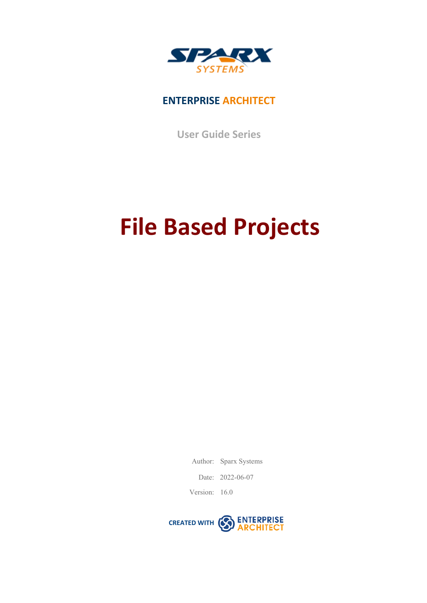

## **ENTERPRISE ARCHITECT**

**User Guide Series**

# **File Based Projects**

Author: Sparx Systems

Date: 2022-06-07

Version: 16.0

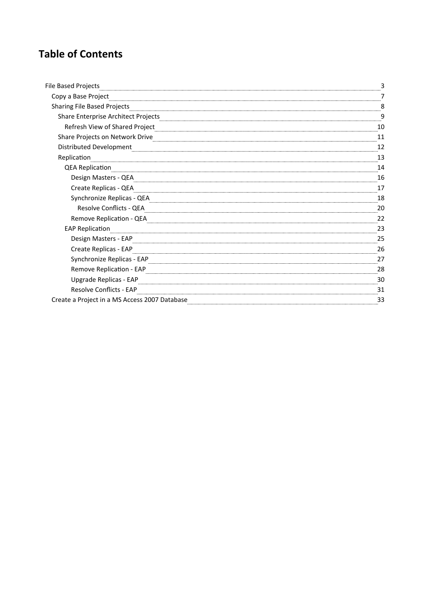## **Table of Contents**

| File Based Projects                                                                                            |    |
|----------------------------------------------------------------------------------------------------------------|----|
| Copy a Base Project                                                                                            |    |
| Sharing File Based Projects                                                                                    |    |
| Share Enterprise Architect Projects                                                                            |    |
| Refresh View of Shared Project                                                                                 |    |
| Share Projects on Network Drive                                                                                | 11 |
| Distributed Development                                                                                        | 12 |
| Replication                                                                                                    | 13 |
| <b>QEA Replication</b>                                                                                         | 14 |
| Design Masters - QEA                                                                                           | 16 |
| Create Replicas - QEA Parama and Carrier and Carrier and Carrier and Carrier and Carrier and Carrier and Carri | 17 |
| Synchronize Replicas - QEA                                                                                     | 18 |
| Resolve Conflicts - QEA                                                                                        | 20 |
| Remove Replication - QEA                                                                                       | 22 |
| <b>EAP Replication</b>                                                                                         | 23 |
| Design Masters - EAP                                                                                           | 25 |
| Create Replicas - EAP                                                                                          | 26 |
| Synchronize Replicas - EAP                                                                                     | 27 |
| Remove Replication - EAP                                                                                       | 28 |
| Upgrade Replicas - EAP                                                                                         | 30 |
| Resolve Conflicts - EAP                                                                                        | 31 |
| Create a Project in a MS Access 2007 Database                                                                  | 33 |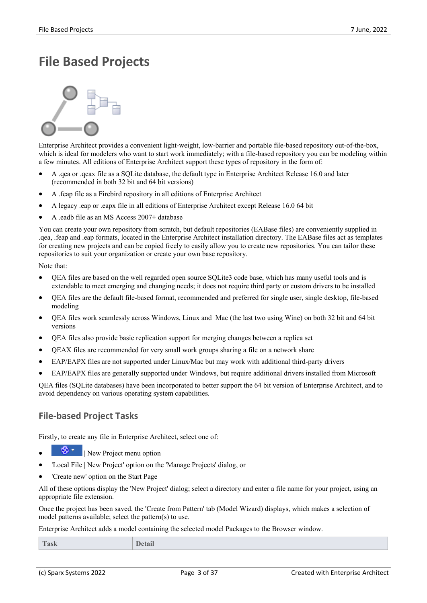## **File Based Projects**



Enterprise Architect provides a convenient light-weight, low-barrier and portable file-based repository out-of-the-box, which is ideal for modelers who want to start work immediately; with a file-based repository you can be modeling within a few minutes. All editions of Enterprise Architect support these types of repository in the form of:

- · A .qea or .qeax file asa SQLite database, the default type in Enterprise Architect Release 16.0 and later (recommended in both 32 bit and 64 bit versions)
- A .feap file as a Firebird repository in all editions of Enterprise Architect
- · A legacy .eap or .eapx file in all editions of Enterprise Architect except Release 16.0 64 bit
- · A .eadb file as an MS Access 2007+ database

You can create your own repository from scratch, but default repositories (EABase files) are conveniently supplied in .qea, .feap and .eap formats, located in the Enterprise Architect installation directory. The EABase files act as templates for creating new projects and can be copied freely to easily allow you to create new repositories. You can tailor these repositories to suit your organization or create yourown base repository.

Note that:

- · QEA files are based on the well regarded open source SQLite3 code base, which has many useful tools and is extendable to meet emerging and changing needs; it does not require third party or custom drivers to be installed
- · QEA files are the default file-based format, recommended and preferred for single user, single desktop, file-based modeling
- · QEA files workseamlessly across Windows, Linux and Mac (the last two using Wine) on both 32 bit and 64 bit versions
- · QEA files also provide basic replication support for merging changes between a replica set
- · QEAX files are recommended for very small work groups sharing a file on a network share
- EAP/EAPX files are not supported under Linux/Mac but may work with additional third-party drivers
- EAP/EAPX files are generally supported under Windows, but require additional drivers installed from Microsoft

QEA files (SQLite databases) have been incorporated to better support the 64 bit version of Enterprise Architect, and to avoid dependency on various operating system capabilities.

### **File-based Project Tasks**

Firstly, to create any file in Enterprise Architect, select one of:

- · | New Project menu option
- · 'Local File | New Project' option on the 'Manage Projects' dialog, or
- · 'Create new'option on the Start Page

All of these options display the 'New Project' dialog; select a directory and enter a file name for your project, using an appropriate file extension.

Once the project has been saved, the 'Create from Pattern' tab (Model Wizard) displays, which makes a selection of model patterns available; select the pattern(s) to use.

Enterprise Architect adds a model containing the selected model Packages to the Browser window.

| Task<br><b>Detail</b> |  |
|-----------------------|--|
|-----------------------|--|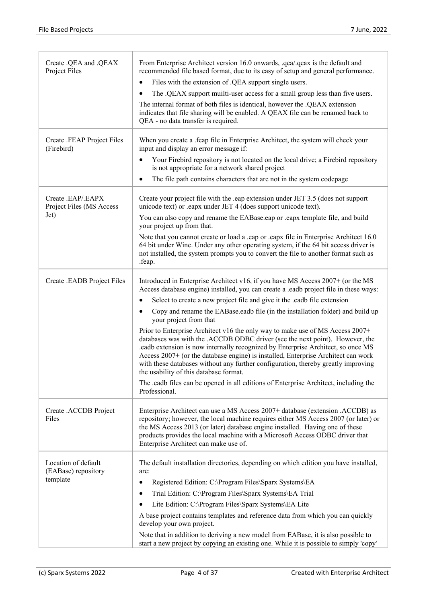| Create .QEA and .QEAX<br>Project Files                 | From Enterprise Architect version 16.0 onwards, .qea/.qeax is the default and<br>recommended file based format, due to its easy of setup and general performance.                                                                                                                                                                                                                                                                                                    |
|--------------------------------------------------------|----------------------------------------------------------------------------------------------------------------------------------------------------------------------------------------------------------------------------------------------------------------------------------------------------------------------------------------------------------------------------------------------------------------------------------------------------------------------|
|                                                        | Files with the extension of .QEA support single users.<br>٠                                                                                                                                                                                                                                                                                                                                                                                                          |
|                                                        | The .QEAX support muilti-user access for a small group less than five users.<br>$\bullet$                                                                                                                                                                                                                                                                                                                                                                            |
|                                                        | The internal format of both files is identical, however the .QEAX extension<br>indicates that file sharing will be enabled. A QEAX file can be renamed back to<br>QEA - no data transfer is required.                                                                                                                                                                                                                                                                |
| Create .FEAP Project Files<br>(Firebird)               | When you create a .feap file in Enterprise Architect, the system will check your<br>input and display an error message if:                                                                                                                                                                                                                                                                                                                                           |
|                                                        | Your Firebird repository is not located on the local drive; a Firebird repository<br>$\bullet$<br>is not appropriate for a network shared project                                                                                                                                                                                                                                                                                                                    |
|                                                        | The file path contains characters that are not in the system codepage<br>$\bullet$                                                                                                                                                                                                                                                                                                                                                                                   |
| Create .EAP/.EAPX<br>Project Files (MS Access          | Create your project file with the .eap extension under JET 3.5 (does not support<br>unicode text) or .eapx under JET 4 (does support unicode text).                                                                                                                                                                                                                                                                                                                  |
| Jet)                                                   | You can also copy and rename the EABase.eap or .eapx template file, and build<br>your project up from that.                                                                                                                                                                                                                                                                                                                                                          |
|                                                        | Note that you cannot create or load a .eap or .eapx file in Enterprise Architect 16.0<br>64 bit under Wine. Under any other operating system, if the 64 bit access driver is<br>not installed, the system prompts you to convert the file to another format such as<br>.feap.                                                                                                                                                                                        |
| Create .EADB Project Files                             | Introduced in Enterprise Architect v16, if you have MS Access 2007+ (or the MS<br>Access database engine) installed, you can create a .eadb project file in these ways:                                                                                                                                                                                                                                                                                              |
|                                                        | Select to create a new project file and give it the .eadb file extension<br>٠                                                                                                                                                                                                                                                                                                                                                                                        |
|                                                        | Copy and rename the EABase.eadb file (in the installation folder) and build up<br>$\bullet$<br>your project from that                                                                                                                                                                                                                                                                                                                                                |
|                                                        | Prior to Enterprise Architect v16 the only way to make use of MS Access 2007+<br>databases was with the .ACCDB ODBC driver (see the next point). However, the<br>eadb extension is now internally recognized by Enterprise Architect, so once MS<br>Access 2007+ (or the database engine) is installed, Enterprise Architect can work<br>with these databases without any further configuration, thereby greatly improving<br>the usability of this database format. |
|                                                        | The eadb files can be opened in all editions of Enterprise Architect, including the<br>Professional.                                                                                                                                                                                                                                                                                                                                                                 |
| Create .ACCDB Project<br>Files                         | Enterprise Architect can use a MS Access 2007+ database (extension .ACCDB) as<br>repository; however, the local machine requires either MS Access 2007 (or later) or<br>the MS Access 2013 (or later) database engine installed. Having one of these<br>products provides the local machine with a Microsoft Access ODBC driver that<br>Enterprise Architect can make use of.                                                                                        |
| Location of default<br>(EABase) repository<br>template | The default installation directories, depending on which edition you have installed,<br>are:                                                                                                                                                                                                                                                                                                                                                                         |
|                                                        | Registered Edition: C:\Program Files\Sparx Systems\EA<br>$\bullet$                                                                                                                                                                                                                                                                                                                                                                                                   |
|                                                        | Trial Edition: C:\Program Files\Sparx Systems\EA Trial<br>٠                                                                                                                                                                                                                                                                                                                                                                                                          |
|                                                        | Lite Edition: C:\Program Files\Sparx Systems\EA Lite<br>$\bullet$                                                                                                                                                                                                                                                                                                                                                                                                    |
|                                                        | A base project contains templates and reference data from which you can quickly<br>develop your own project.                                                                                                                                                                                                                                                                                                                                                         |
|                                                        | Note that in addition to deriving a new model from EABase, it is also possible to<br>start a new project by copying an existing one. While it is possible to simply 'copy'                                                                                                                                                                                                                                                                                           |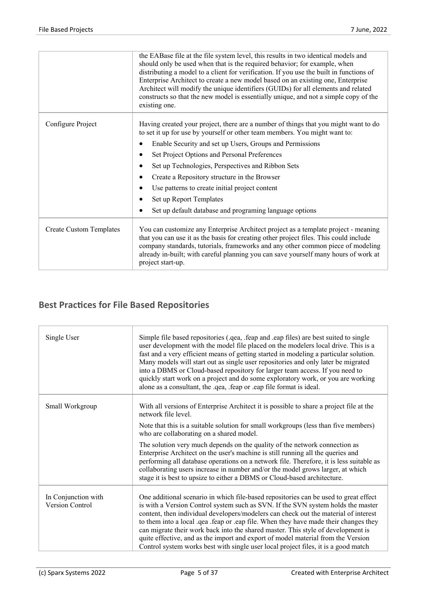|                                | the EABase file at the file system level, this results in two identical models and<br>should only be used when that is the required behavior; for example, when<br>distributing a model to a client for verification. If you use the built in functions of<br>Enterprise Architect to create a new model based on an existing one, Enterprise<br>Architect will modify the unique identifiers (GUIDs) for all elements and related<br>constructs so that the new model is essentially unique, and not a simple copy of the<br>existing one. |
|--------------------------------|---------------------------------------------------------------------------------------------------------------------------------------------------------------------------------------------------------------------------------------------------------------------------------------------------------------------------------------------------------------------------------------------------------------------------------------------------------------------------------------------------------------------------------------------|
| Configure Project              | Having created your project, there are a number of things that you might want to do<br>to set it up for use by yourself or other team members. You might want to:                                                                                                                                                                                                                                                                                                                                                                           |
|                                | Enable Security and set up Users, Groups and Permissions                                                                                                                                                                                                                                                                                                                                                                                                                                                                                    |
|                                | Set Project Options and Personal Preferences<br>$\bullet$                                                                                                                                                                                                                                                                                                                                                                                                                                                                                   |
|                                | Set up Technologies, Perspectives and Ribbon Sets<br>$\bullet$                                                                                                                                                                                                                                                                                                                                                                                                                                                                              |
|                                | Create a Repository structure in the Browser<br>$\bullet$                                                                                                                                                                                                                                                                                                                                                                                                                                                                                   |
|                                | Use patterns to create initial project content<br>$\bullet$                                                                                                                                                                                                                                                                                                                                                                                                                                                                                 |
|                                | Set up Report Templates<br>$\bullet$                                                                                                                                                                                                                                                                                                                                                                                                                                                                                                        |
|                                | Set up default database and programing language options<br>$\epsilon$                                                                                                                                                                                                                                                                                                                                                                                                                                                                       |
| <b>Create Custom Templates</b> | You can customize any Enterprise Architect project as a template project - meaning<br>that you can use it as the basis for creating other project files. This could include<br>company standards, tutorials, frameworks and any other common piece of modeling<br>already in-built; with careful planning you can save yourself many hours of work at<br>project start-up.                                                                                                                                                                  |

## **Best Practices for File Based Repositories**

| Single User                                   | Simple file based repositories (.qea, .feap and .eap files) are best suited to single<br>user development with the model file placed on the modelers local drive. This is a<br>fast and a very efficient means of getting started in modeling a particular solution.<br>Many models will start out as single user repositories and only later be migrated<br>into a DBMS or Cloud-based repository for larger team access. If you need to<br>quickly start work on a project and do some exploratory work, or you are working<br>alone as a consultant, the .qea, .feap or .eap file format is ideal.                 |
|-----------------------------------------------|-----------------------------------------------------------------------------------------------------------------------------------------------------------------------------------------------------------------------------------------------------------------------------------------------------------------------------------------------------------------------------------------------------------------------------------------------------------------------------------------------------------------------------------------------------------------------------------------------------------------------|
| Small Workgroup                               | With all versions of Enterprise Architect it is possible to share a project file at the<br>network file level.                                                                                                                                                                                                                                                                                                                                                                                                                                                                                                        |
|                                               | Note that this is a suitable solution for small workgroups (less than five members)<br>who are collaborating on a shared model.                                                                                                                                                                                                                                                                                                                                                                                                                                                                                       |
|                                               | The solution very much depends on the quality of the network connection as<br>Enterprise Architect on the user's machine is still running all the queries and<br>performing all database operations on a network file. Therefore, it is less suitable as<br>collaborating users increase in number and/or the model grows larger, at which<br>stage it is best to upsize to either a DBMS or Cloud-based architecture.                                                                                                                                                                                                |
| In Conjunction with<br><b>Version Control</b> | One additional scenario in which file-based repositories can be used to great effect<br>is with a Version Control system such as SVN. If the SVN system holds the master<br>content, then individual developers/modelers can check out the material of interest<br>to them into a local .qea .feap or .eap file. When they have made their changes they<br>can migrate their work back into the shared master. This style of development is<br>quite effective, and as the import and export of model material from the Version<br>Control system works best with single user local project files, it is a good match |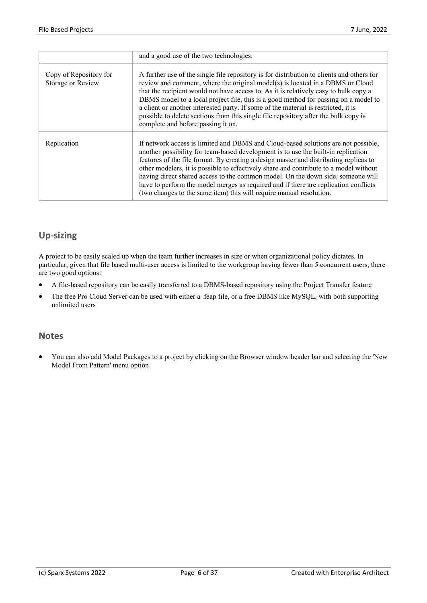|                                             | and a good use of the two technologies.                                                                                                                                                                                                                                                                                                                                                                                                                                                                                                                                                                   |
|---------------------------------------------|-----------------------------------------------------------------------------------------------------------------------------------------------------------------------------------------------------------------------------------------------------------------------------------------------------------------------------------------------------------------------------------------------------------------------------------------------------------------------------------------------------------------------------------------------------------------------------------------------------------|
| Copy of Repository for<br>Storage or Review | A further use of the single file repository is for distribution to clients and others for<br>review and comment, where the original model(s) is located in a DBMS or Cloud<br>that the recipient would not have access to. As it is relatively easy to bulk copy a<br>DBMS model to a local project file, this is a good method for passing on a model to<br>a client or another interested party. If some of the material is restricted, it is<br>possible to delete sections from this single file repository after the bulk copy is<br>complete and before passing it on.                              |
| Replication                                 | If network access is limited and DBMS and Cloud-based solutions are not possible,<br>another possibility for team-based development is to use the built-in replication<br>features of the file format. By creating a design master and distributing replicas to<br>other modelers, it is possible to effectively share and contribute to a model without<br>having direct shared access to the common model. On the down side, someone will<br>have to perform the model merges as required and if there are replication conflicts<br>(two changes to the same item) this will require manual resolution. |

## **Up-sizing**

A project to be easily scaled up when the team further increases in size or when organizational policy dictates. In particular, given that file based multi-user access is limited to the workgroup having fewer than 5 concurrent users, there are two good options:

- A file-based repository can be easily transferred to a DBMS-based repository using the Project Transfer feature
- The free Pro Cloud Server can be used with either a .feap file, or a free DBMS like MySQL, with both supporting unlimited users

### **Notes**

· You can also add Model Packages to a project by clicking on the Browser window header bar and selecting the 'New Model From Pattern' menu option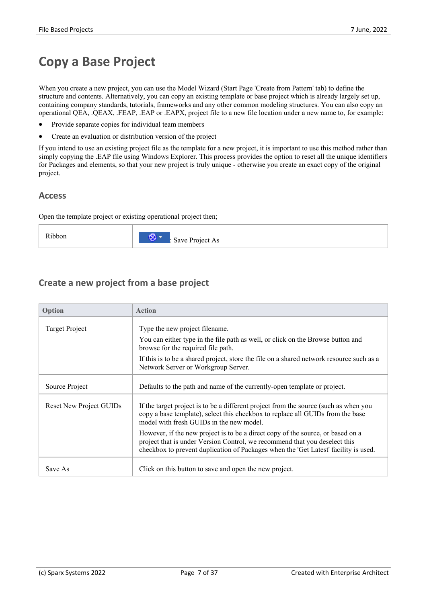## **Copy a Base Project**

When you create a new project, you can use the Model Wizard (Start Page 'Create from Pattern' tab) to define the structure and contents. Alternatively, you can copy an existing template or base project which is already largely set up, containing company standards, tutorials, frameworks and any other common modeling structures. You can also copy an operational QEA, .QEAX, .FEAP, .EAP or .EAPX, project file to a new file location under a new name to, for example:

- Provide separate copies for individual team members
- Create an evaluation or distribution version of the project

If you intend to use an existing project file asthe template for a new project, it is important to use this method rather than simply copying the .EAP file using Windows Explorer. This process provides the option to reset all the unique identifiers for Packages and elements, so that your new project is truly unique - otherwise you create an exact copy of the original project.

### **Access**

Open the template project or existing operational project then;

| Ribbon<br>. | 63.<br>Save Project As<br>$\cdot$ |
|-------------|-----------------------------------|
|-------------|-----------------------------------|

### **Create a new project from a base project**

| Option                         | <b>Action</b>                                                                                                                                                                                                                                        |
|--------------------------------|------------------------------------------------------------------------------------------------------------------------------------------------------------------------------------------------------------------------------------------------------|
| Target Project                 | Type the new project filename.                                                                                                                                                                                                                       |
|                                | You can either type in the file path as well, or click on the Browse button and<br>browse for the required file path.                                                                                                                                |
|                                | If this is to be a shared project, store the file on a shared network resource such as a<br>Network Server or Workgroup Server.                                                                                                                      |
| Source Project                 | Defaults to the path and name of the currently-open template or project.                                                                                                                                                                             |
| <b>Reset New Project GUIDs</b> | If the target project is to be a different project from the source (such as when you<br>copy a base template), select this checkbox to replace all GUIDs from the base<br>model with fresh GUIDs in the new model.                                   |
|                                | However, if the new project is to be a direct copy of the source, or based on a<br>project that is under Version Control, we recommend that you deselect this<br>checkbox to prevent duplication of Packages when the 'Get Latest' facility is used. |
| Save As                        | Click on this button to save and open the new project.                                                                                                                                                                                               |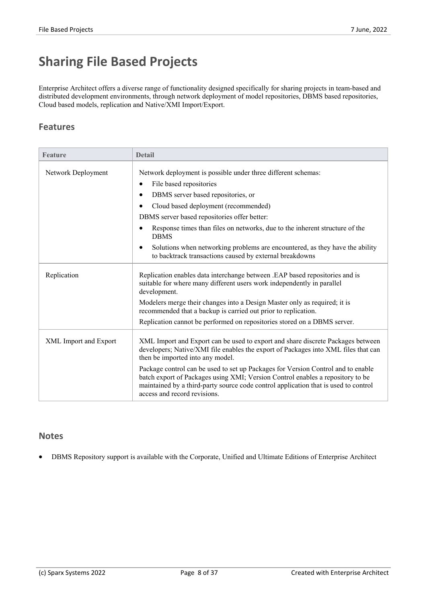## **Sharing File Based Projects**

Enterprise Architect offers a diverse range of functionality designed specifically for sharing projects in team-based and distributed development environments, through network deployment of model repositories, DBMS based repositories, Cloud based models, replication and Native/XMI Import/Export.

### **Features**

| <b>Feature</b>        | <b>Detail</b>                                                                                                                                                                                                                                                                             |
|-----------------------|-------------------------------------------------------------------------------------------------------------------------------------------------------------------------------------------------------------------------------------------------------------------------------------------|
| Network Deployment    | Network deployment is possible under three different schemas:                                                                                                                                                                                                                             |
|                       | File based repositories<br>٠                                                                                                                                                                                                                                                              |
|                       | DBMS server based repositories, or<br>$\bullet$                                                                                                                                                                                                                                           |
|                       | Cloud based deployment (recommended)<br>$\bullet$                                                                                                                                                                                                                                         |
|                       | DBMS server based repositories offer better:                                                                                                                                                                                                                                              |
|                       | Response times than files on networks, due to the inherent structure of the<br>$\bullet$<br><b>DBMS</b>                                                                                                                                                                                   |
|                       | Solutions when networking problems are encountered, as they have the ability<br>٠<br>to backtrack transactions caused by external breakdowns                                                                                                                                              |
| Replication           | Replication enables data interchange between .EAP based repositories and is<br>suitable for where many different users work independently in parallel<br>development.                                                                                                                     |
|                       | Modelers merge their changes into a Design Master only as required; it is<br>recommended that a backup is carried out prior to replication.                                                                                                                                               |
|                       | Replication cannot be performed on repositories stored on a DBMS server.                                                                                                                                                                                                                  |
| XML Import and Export | XML Import and Export can be used to export and share discrete Packages between<br>developers; Native/XMI file enables the export of Packages into XML files that can<br>then be imported into any model.                                                                                 |
|                       | Package control can be used to set up Packages for Version Control and to enable<br>batch export of Packages using XMI; Version Control enables a repository to be<br>maintained by a third-party source code control application that is used to control<br>access and record revisions. |

### **Notes**

• DBMS Repository support is available with the Corporate, Unified and Ultimate Editions of Enterprise Architect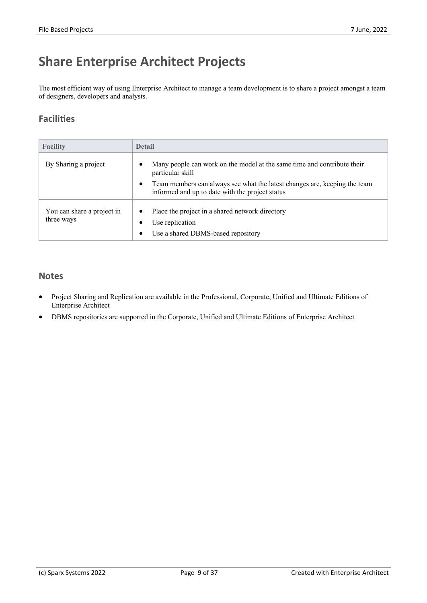## **Share Enterprise Architect Projects**

The most efficient way of using Enterprise Architect to manage a team development is to share a project amongst a team of designers, developers and analysts.

## **Facilities**

| <b>Facility</b>                          | <b>Detail</b>                                                                                                                                                                                                                            |
|------------------------------------------|------------------------------------------------------------------------------------------------------------------------------------------------------------------------------------------------------------------------------------------|
| By Sharing a project                     | Many people can work on the model at the same time and contribute their<br>particular skill<br>Team members can always see what the latest changes are, keeping the team<br>$\bullet$<br>informed and up to date with the project status |
| You can share a project in<br>three ways | Place the project in a shared network directory<br>٠<br>Use replication<br>Use a shared DBMS-based repository<br>٠                                                                                                                       |

### **Notes**

- · Project Sharing and Replication are available in the Professional, Corporate, Unified and Ultimate Editions of Enterprise Architect
- DBMS repositories are supported in the Corporate, Unified and Ultimate Editions of Enterprise Architect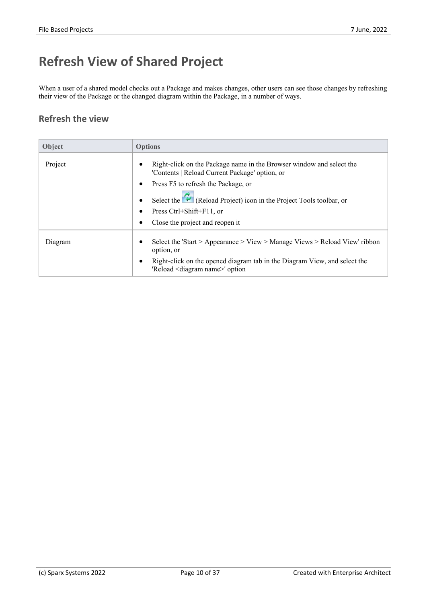## **Refresh View of Shared Project**

When a user of a shared model checks out a Package and makes changes, other users can see those changes by refreshing their view of the Package or the changed diagram within the Package, in a number of ways.

## **Refresh the view**

| Object  | <b>Options</b>                                                                                                           |
|---------|--------------------------------------------------------------------------------------------------------------------------|
| Project | Right-click on the Package name in the Browser window and select the<br>'Contents   Reload Current Package' option, or   |
|         | Press F5 to refresh the Package, or                                                                                      |
|         | Select the $\bullet$ (Reload Project) icon in the Project Tools toolbar, or                                              |
|         | Press Ctrl+Shift+F11, or                                                                                                 |
|         | Close the project and reopen it                                                                                          |
| Diagram | Select the 'Start > Appearance > View > Manage Views > Reload View' ribbon<br>option, or                                 |
|         | Right-click on the opened diagram tab in the Diagram View, and select the<br>'Reload <diagram name="">' option</diagram> |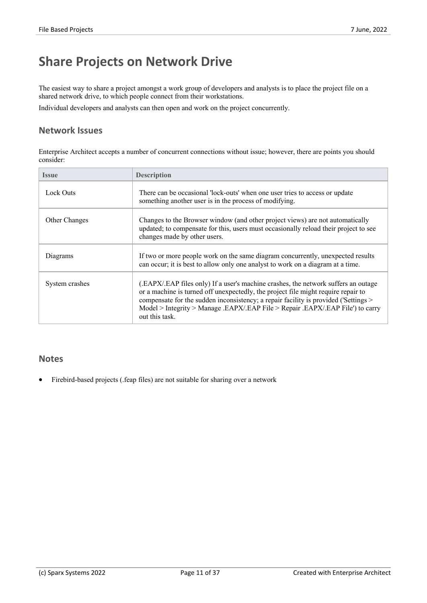## **Share Projects on Network Drive**

The easiest way to share a project amongst a work group of developers and analysts is to place the project file on a shared network drive, to which people connect from their workstations.

Individual developers and analysts can then open and work on the project concurrently.

### **Network Issues**

Enterprise Architect accepts a number of concurrent connections without issue; however, there are points you should consider:

| Issue          | <b>Description</b>                                                                                                                                                                                                                                                                                                                                                 |
|----------------|--------------------------------------------------------------------------------------------------------------------------------------------------------------------------------------------------------------------------------------------------------------------------------------------------------------------------------------------------------------------|
| Lock Outs      | There can be occasional 'lock-outs' when one user tries to access or update<br>something another user is in the process of modifying.                                                                                                                                                                                                                              |
| Other Changes  | Changes to the Browser window (and other project views) are not automatically<br>updated; to compensate for this, users must occasionally reload their project to see<br>changes made by other users.                                                                                                                                                              |
| Diagrams       | If two or more people work on the same diagram concurrently, unexpected results<br>can occur; it is best to allow only one analyst to work on a diagram at a time.                                                                                                                                                                                                 |
| System crashes | (.EAPX/.EAP files only) If a user's machine crashes, the network suffers an outage<br>or a machine is turned off unexpectedly, the project file might require repair to<br>compensate for the sudden inconsistency; a repair facility is provided ('Settings ><br>Model > Integrity > Manage .EAPX/.EAP File > Repair .EAPX/.EAP File') to carry<br>out this task. |

### **Notes**

Firebird-based projects (.feap files) are not suitable for sharing over a network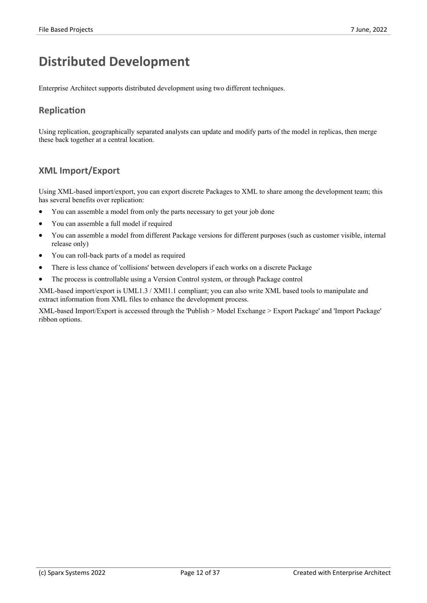## **Distributed Development**

Enterprise Architect supports distributed development using two different techniques.

## **Replication**

Using replication, geographically separated analysts can update and modify parts of the model in replicas, then merge these back together at a central location.

## **XML Import/Export**

Using XML-based import/export, you can export discrete Packages to XML to share among the development team; this has several benefits over replication:

- You can assemble a model from only the parts necessary to get your job done
- You can assemble a full model if required
- · You can assemble a model from different Package versions for different purposes (such as customer visible, internal release only)
- You can roll-back parts of a model as required
- There is less chance of 'collisions' between developers if each works on a discrete Package
- · The process is controllable using a Version Control system, or through Package control

XML-based import/export is UML1.3 / XMI1.1 compliant; you can also write XML based tools to manipulate and extract information from XML files to enhance the development process.

XML-based Import/Export is accessed through the 'Publish > Model Exchange > Export Package' and 'Import Package' ribbon options.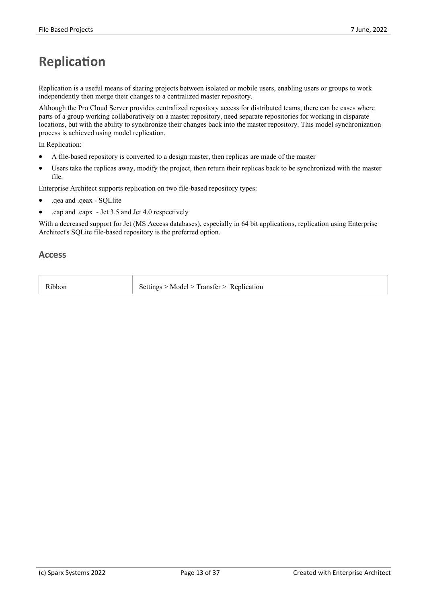## **Replication**

Replication is a useful means of sharing projects between isolated or mobile users, enabling users or groups to work independently then merge their changes to a centralized master repository.

Although the Pro Cloud Server provides centralized repository access for distributed teams, there can be cases where parts of a group working collaboratively on a master repository, need separate repositories for working in disparate locations, but with the ability to synchronize their changes back into the master repository. This model synchronization process is achieved using model replication.

In Replication:

- A file-based repository is converted to a design master, then replicas are made of the master
- Users take the replicas away, modify the project, then return their replicas back to be synchronized with the master file.

Enterprise Architect supports replication on two file-based repository types:

- .qea and .qeax SQLlite
- · .eap and .eapx Jet 3.5 and Jet 4.0 respectively

With a decreased support for Jet (MS Access databases), especially in 64 bit applications, replication using Enterprise Architect's SQLite file-based repository is the preferred option.

#### **Access**

| Ribbon | Settings > Model > Transfer > Replication |  |
|--------|-------------------------------------------|--|
|        |                                           |  |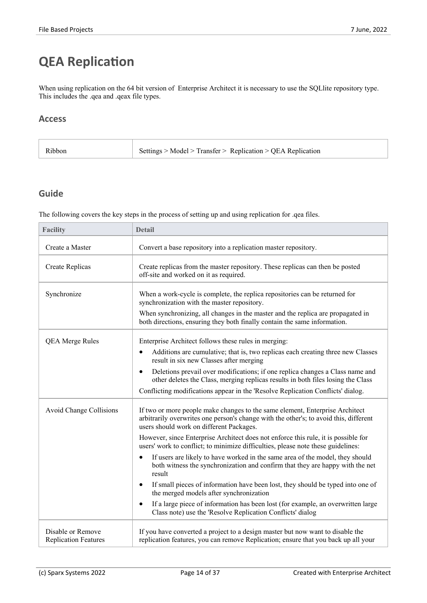## **QEA Replication**

When using replication on the 64 bit version of Enterprise Architect it is necessary to use the SQLlite repository type. This includes the .qea and .qeax file types.

### **Access**

| Settings > Model > Transfer > Replication > QEA Replication<br>Ribbon |  |
|-----------------------------------------------------------------------|--|
|-----------------------------------------------------------------------|--|

## **Guide**

The following covers the key steps in the process of setting up and using replication for .qea files.

| <b>Facility</b>                                  | <b>Detail</b>                                                                                                                                                                                                     |  |
|--------------------------------------------------|-------------------------------------------------------------------------------------------------------------------------------------------------------------------------------------------------------------------|--|
| Create a Master                                  | Convert a base repository into a replication master repository.                                                                                                                                                   |  |
| Create Replicas                                  | Create replicas from the master repository. These replicas can then be posted<br>off-site and worked on it as required.                                                                                           |  |
| Synchronize                                      | When a work-cycle is complete, the replica repositories can be returned for<br>synchronization with the master repository.                                                                                        |  |
|                                                  | When synchronizing, all changes in the master and the replica are propagated in<br>both directions, ensuring they both finally contain the same information.                                                      |  |
| <b>QEA Merge Rules</b>                           | Enterprise Architect follows these rules in merging:                                                                                                                                                              |  |
|                                                  | Additions are cumulative; that is, two replicas each creating three new Classes<br>$\bullet$<br>result in six new Classes after merging                                                                           |  |
|                                                  | Deletions prevail over modifications; if one replica changes a Class name and<br>$\bullet$<br>other deletes the Class, merging replicas results in both files losing the Class                                    |  |
|                                                  | Conflicting modifications appear in the 'Resolve Replication Conflicts' dialog.                                                                                                                                   |  |
| <b>Avoid Change Collisions</b>                   | If two or more people make changes to the same element, Enterprise Architect<br>arbitrarily overwrites one person's change with the other's; to avoid this, different<br>users should work on different Packages. |  |
|                                                  | However, since Enterprise Architect does not enforce this rule, it is possible for<br>users' work to conflict; to minimize difficulties, please note these guidelines:                                            |  |
|                                                  | If users are likely to have worked in the same area of the model, they should<br>$\bullet$<br>both witness the synchronization and confirm that they are happy with the net<br>result                             |  |
|                                                  | If small pieces of information have been lost, they should be typed into one of<br>$\bullet$<br>the merged models after synchronization                                                                           |  |
|                                                  | If a large piece of information has been lost (for example, an overwritten large<br>$\bullet$<br>Class note) use the 'Resolve Replication Conflicts' dialog                                                       |  |
| Disable or Remove<br><b>Replication Features</b> | If you have converted a project to a design master but now want to disable the<br>replication features, you can remove Replication; ensure that you back up all your                                              |  |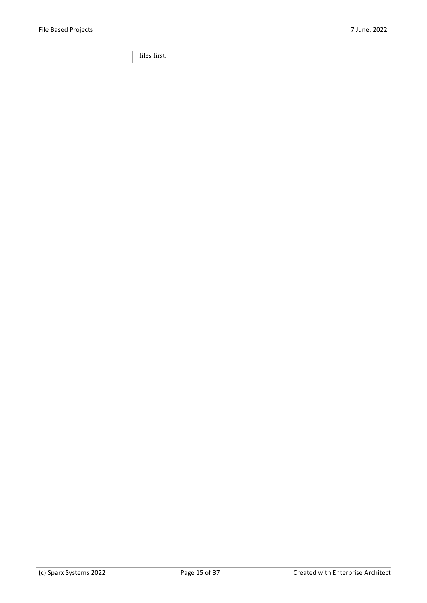files first.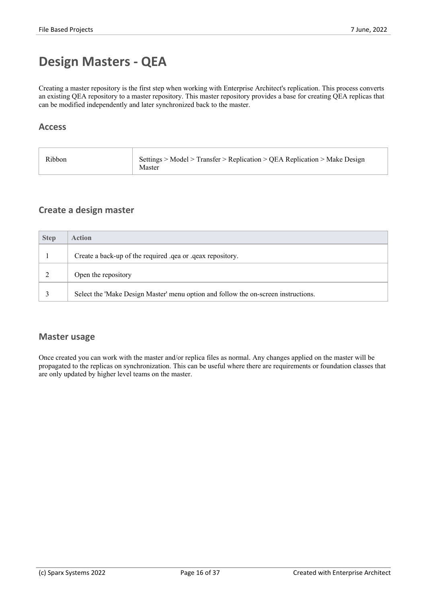## **Design Masters - QEA**

Creating a master repository is the first step when working with Enterprise Architect's replication. This process converts an existing QEA repository to a master repository. This master repository provides a base for creating QEA replicas that can be modified independently and later synchronized back to the master.

### **Access**

| Ribbon | Settings > Model > Transfer > Replication > QEA Replication > Make Design<br>Master |  |
|--------|-------------------------------------------------------------------------------------|--|
|--------|-------------------------------------------------------------------------------------|--|

## **Create a design master**

| <b>Step</b> | <b>Action</b>                                                                      |
|-------------|------------------------------------------------------------------------------------|
|             | Create a back-up of the required .qea or .qeax repository.                         |
|             | Open the repository                                                                |
|             | Select the 'Make Design Master' menu option and follow the on-screen instructions. |

### **Master usage**

Once created you can work with the master and/or replica files as normal. Any changes applied on the master will be propagated to the replicas on synchronization. This can be useful where there are requirements orfoundation classes that are only updated by higher level teams on the master.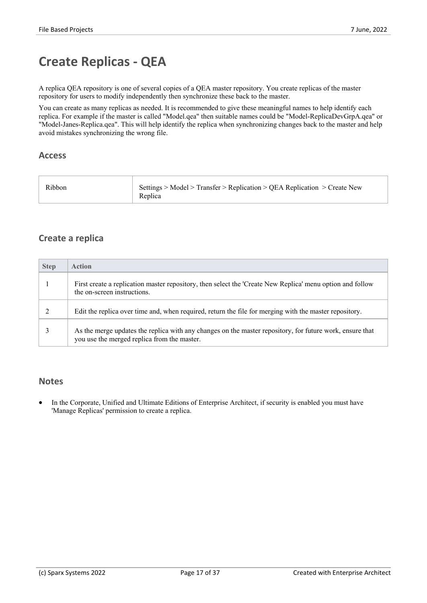## **Create Replicas - QEA**

A replica QEA repository is one of several copies ofa QEA master repository. You create replicas of the master repository for users to modify independently then synchronize these back to the master.

You can create as many replicas as needed. It is recommended to give these meaningful names to help identify each replica. For example if the master is called "Model.qea" then suitable names could be "Model-ReplicaDevGrpA.qea" or "Model-Janes-Replica.qea". This will help identify the replica when synchronizing changes back to the master and help avoid mistakes synchronizing the wrong file.

### **Access**

| Ribbon<br>Replica | Settings > Model > Transfer > Replication > QEA Replication > Create New |
|-------------------|--------------------------------------------------------------------------|
|-------------------|--------------------------------------------------------------------------|

## **Create a replica**

| <b>Step</b> | <b>Action</b>                                                                                                                                           |
|-------------|---------------------------------------------------------------------------------------------------------------------------------------------------------|
|             | First create a replication master repository, then select the 'Create New Replica' menu option and follow<br>the on-screen instructions.                |
|             | Edit the replica over time and, when required, return the file for merging with the master repository.                                                  |
|             | As the merge updates the replica with any changes on the master repository, for future work, ensure that<br>you use the merged replica from the master. |

### **Notes**

In the Corporate, Unified and Ultimate Editions of Enterprise Architect, if security is enabled you must have 'Manage Replicas' permission to create a replica.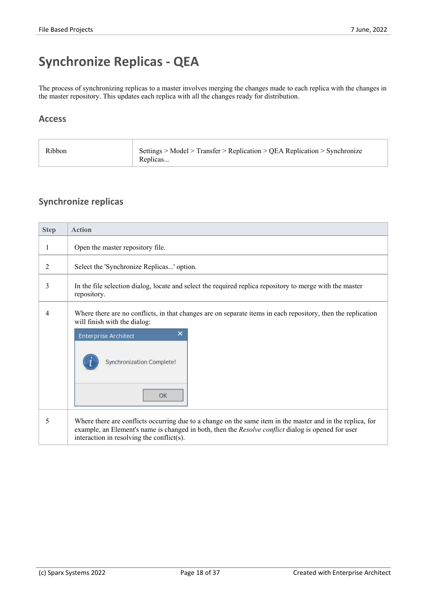## **Synchronize Replicas - QEA**

The process of synchronizing replicas to a master involves merging the changes made to each replica with the changes in the master repository. This updates each replica with all the changes ready for distribution.

### **Access**

| Ribbon | Settings > Model > Transfer > Replication > QEA Replication > Synchronize<br>Replicas |  |
|--------|---------------------------------------------------------------------------------------|--|
|--------|---------------------------------------------------------------------------------------|--|

## **Synchronize replicas**

| <b>Step</b> | <b>Action</b>                                                                                                                                                                                                                                                 |  |
|-------------|---------------------------------------------------------------------------------------------------------------------------------------------------------------------------------------------------------------------------------------------------------------|--|
| 1           | Open the master repository file.                                                                                                                                                                                                                              |  |
| 2           | Select the 'Synchronize Replicas' option.                                                                                                                                                                                                                     |  |
| 3           | In the file selection dialog, locate and select the required replica repository to merge with the master<br>repository.                                                                                                                                       |  |
| 4           | Where there are no conflicts, in that changes are on separate items in each repository, then the replication<br>will finish with the dialog:<br>×<br><b>Enterprise Architect</b><br><b>Synchronization Complete!</b><br>OK                                    |  |
| 5           | Where there are conflicts occurring due to a change on the same item in the master and in the replica, for<br>example, an Element's name is changed in both, then the Resolve conflict dialog is opened for user<br>interaction in resolving the conflict(s). |  |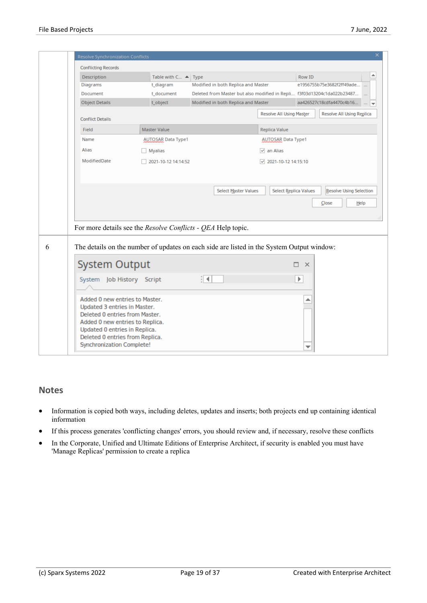| <b>Conflicting Records</b> |                                                                                                                                                                  |                      |                                     |                              |               |                                                                         |                               |
|----------------------------|------------------------------------------------------------------------------------------------------------------------------------------------------------------|----------------------|-------------------------------------|------------------------------|---------------|-------------------------------------------------------------------------|-------------------------------|
| Description                | Table with $C \triangleq  $ Type                                                                                                                                 |                      |                                     |                              | Row ID        |                                                                         |                               |
| Diagrams                   | t_diagram                                                                                                                                                        |                      | Modified in both Replica and Master |                              |               | e1956755b75e3682f2ff49ade                                               |                               |
| Document                   | t_document                                                                                                                                                       |                      |                                     |                              |               | Deleted from Master but also modified in Repli f3f03d13204c1da022b23487 |                               |
| <b>Object Details</b>      | t_object                                                                                                                                                         |                      | Modified in both Replica and Master |                              |               | aa426527c18cdfa4470c4b16                                                | $\cdots$ $\blacktriangledown$ |
| <b>Conflict Details</b>    |                                                                                                                                                                  |                      |                                     | Resolve All Using Master     |               | Resolve All Using Replica                                               |                               |
| Field                      | <b>Master Value</b>                                                                                                                                              |                      |                                     | <b>Replica Value</b>         |               |                                                                         |                               |
| Name                       | <b>AUTOSAR Data Type1</b>                                                                                                                                        |                      |                                     | <b>AUTOSAR Data Type1</b>    |               |                                                                         |                               |
| Alias                      | <b>Myalias</b>                                                                                                                                                   |                      |                                     | $\sqrt{ }$ an Alias          |               |                                                                         |                               |
| ModifiedDate               | 2021-10-12 14:14:52                                                                                                                                              |                      |                                     | $\sqrt{2021-10-12}$ 14:15:10 |               |                                                                         |                               |
|                            |                                                                                                                                                                  |                      |                                     |                              |               | Close                                                                   | Help                          |
|                            | For more details see the <i>Resolve Conflicts - QEA</i> Help topic.<br>The details on the number of updates on each side are listed in the System Output window: |                      |                                     |                              |               |                                                                         |                               |
| <b>System Output</b>       |                                                                                                                                                                  |                      |                                     |                              | $\times$<br>п |                                                                         |                               |
| System Job History Script  |                                                                                                                                                                  | $\blacktriangleleft$ |                                     |                              |               |                                                                         |                               |

#### **Notes**

- · Information is copied both ways, including deletes, updates and inserts; both projects end up containing identical information
- If this process generates 'conflicting changes' errors, you should review and, if necessary, resolve these conflicts
- · In the Corporate, Unified and Ultimate Editions of Enterprise Architect, if security is enabled you must have 'Manage Replicas' permission to create a replica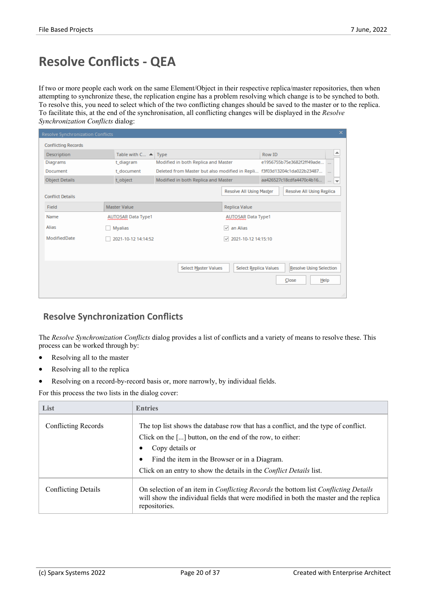## **Resolve Conflicts - QEA**

If two or more people each work on the same Element/Object in their respective replica/master repositories, then when attempting to synchronize these, the replication engine has a problem resolving which change is to be synched to both. To resolve this, you need to select which of the two conflicting changes should be saved to the master or to the replica.<br>To facilitate this, at the end of the synchronisation, all conflicting changes will be displayed in *Synchronization Conflicts* dialog:

| <b>Resolve Synchronization Conflicts</b> |                                     |                                                                         |                                     |        |                                |                | $\boldsymbol{\times}$ |
|------------------------------------------|-------------------------------------|-------------------------------------------------------------------------|-------------------------------------|--------|--------------------------------|----------------|-----------------------|
| <b>Conflicting Records</b>               |                                     |                                                                         |                                     |        |                                |                |                       |
| Description                              | Table with $C_{\cdots}$ $\triangle$ | Type                                                                    |                                     | Row ID |                                |                | ∸                     |
| Diagrams                                 | t diagram                           | Modified in both Replica and Master                                     |                                     |        | e1956755b75e3682f2ff49ade      |                |                       |
| Document                                 | t document                          | Deleted from Master but also modified in Repli f3f03d13204c1da022b23487 |                                     |        |                                | $\overline{a}$ |                       |
| <b>Object Details</b>                    | t_object                            | Modified in both Replica and Master                                     |                                     |        | aa426527c18cdfa4470c4b16       |                | $\cdots$ $\pm$        |
| <b>Conflict Details</b>                  |                                     |                                                                         | <b>Resolve All Using Master</b>     |        | Resolve All Using Replica      |                |                       |
| Field                                    | <b>Master Value</b>                 |                                                                         | Replica Value                       |        |                                |                |                       |
| Name                                     | <b>AUTOSAR Data Type1</b>           |                                                                         | <b>AUTOSAR Data Type1</b>           |        |                                |                |                       |
| Alias                                    | Myalias                             |                                                                         | an Alias<br>$\overline{\mathsf{v}}$ |        |                                |                |                       |
| ModifiedDate                             | 2021-10-12 14:14:52                 |                                                                         | 2021-10-12 14:15:10<br>$\checkmark$ |        |                                |                |                       |
|                                          |                                     |                                                                         |                                     |        |                                |                |                       |
|                                          |                                     |                                                                         |                                     |        |                                |                |                       |
|                                          |                                     | <b>Select Master Values</b>                                             | Select Replica Values               |        | <b>Resolve Using Selection</b> |                |                       |
|                                          |                                     |                                                                         |                                     |        | Close                          | Help           |                       |
|                                          |                                     |                                                                         |                                     |        |                                |                |                       |

## **Resolve Synchronization Conflicts**

The *Resolve Synchronization Conflicts* dialog provides a list of conflicts and a variety of means to resolve these. This process can be worked through by:

- Resolving all to the master
- Resolving all to the replica
- Resolving on a record-by-record basis or, more narrowly, by individual fields.

For this process the two lists in the dialog cover:

| List                       | <b>Entries</b>                                                                                                                                                                                                                         |
|----------------------------|----------------------------------------------------------------------------------------------------------------------------------------------------------------------------------------------------------------------------------------|
| Conflicting Records        | The top list shows the database row that has a conflict, and the type of conflict.<br>Click on the $\left[\ldots\right]$ button, on the end of the row, to either:<br>Copy details or<br>Find the item in the Browser or in a Diagram. |
|                            | Click on an entry to show the details in the <i>Conflict Details</i> list.                                                                                                                                                             |
| <b>Conflicting Details</b> | On selection of an item in <i>Conflicting Records</i> the bottom list <i>Conflicting Details</i><br>will show the individual fields that were modified in both the master and the replica<br>repositories.                             |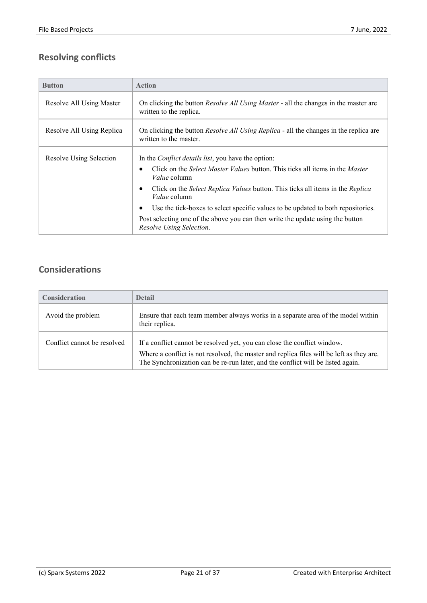## **Resolving conflicts**

| <b>Button</b>             | <b>Action</b>                                                                                                          |
|---------------------------|------------------------------------------------------------------------------------------------------------------------|
| Resolve All Using Master  | On clicking the button <i>Resolve All Using Master</i> - all the changes in the master are<br>written to the replica.  |
| Resolve All Using Replica | On clicking the button <i>Resolve All Using Replica</i> - all the changes in the replica are<br>written to the master. |
| Resolve Using Selection   | In the <i>Conflict details list</i> , you have the option:                                                             |
|                           | Click on the <i>Select Master Values</i> button. This ticks all items in the <i>Master</i><br><i>Value</i> column      |
|                           | Click on the Select Replica Values button. This ticks all items in the Replica<br><i>Value</i> column                  |
|                           | Use the tick-boxes to select specific values to be updated to both repositories.                                       |
|                           | Post selecting one of the above you can then write the update using the button<br>Resolve Using Selection.             |

## **Considerations**

| <b>Consideration</b>        | <b>Detail</b>                                                                                                                                                                                                                                           |
|-----------------------------|---------------------------------------------------------------------------------------------------------------------------------------------------------------------------------------------------------------------------------------------------------|
| Avoid the problem           | Ensure that each team member always works in a separate area of the model within<br>their replica.                                                                                                                                                      |
| Conflict cannot be resolved | If a conflict cannot be resolved yet, you can close the conflict window.<br>Where a conflict is not resolved, the master and replica files will be left as they are.<br>The Synchronization can be re-run later, and the conflict will be listed again. |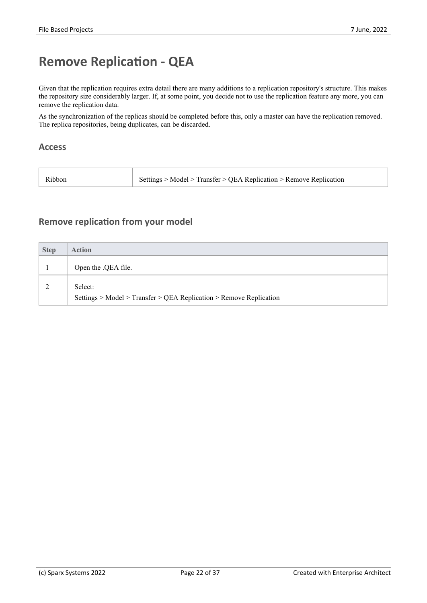## **Remove Replication - QEA**

Given that the replication requires extra detail there are many additions to a replication repository's structure. This makes the repository size considerably larger. If, at some point, you decide not to use the replication feature any more, you can remove the replication data.

As the synchronization of the replicas should be completed before this, only a master can have the replication removed. The replica repositories, being duplicates, can be discarded.

#### **Access**

| Ribbor | Settings > Model > Transfer > QEA Replication > Remove Replication |  |
|--------|--------------------------------------------------------------------|--|
|        |                                                                    |  |

### **Remove replication from your model**

| <b>Step</b> | <b>Action</b>                                                                 |
|-------------|-------------------------------------------------------------------------------|
|             | Open the .QEA file.                                                           |
|             | Select:<br>Settings > Model > Transfer > QEA Replication > Remove Replication |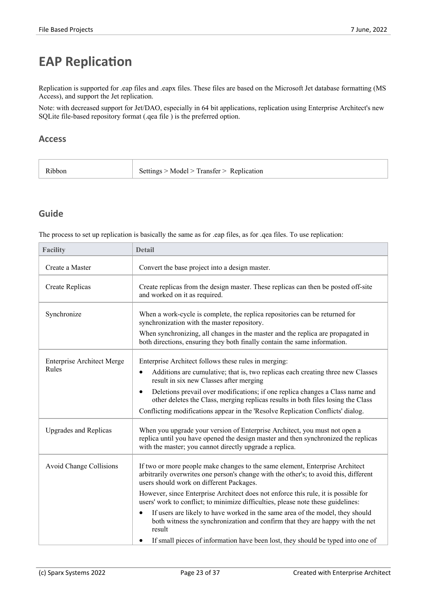## **EAP Replication**

Replication is supported for .eap files and .eapx files. These files are based on the Microsoft Jet database formatting (MS Access), and support the Jet replication.

Note: with decreased support for Jet/DAO, especially in 64 bit applications, replication using Enterprise Architect's new SQLite file-based repository format (.qea file) is the preferred option.

### **Access**

| Settings $>$ Model $>$ Transfer $>$ Replication<br>Ribbon |
|-----------------------------------------------------------|
|-----------------------------------------------------------|

## **Guide**

The process to set up replication is basically the same as for .eap files, as for .qea files. To use replication:

| <b>Facility</b>                   | <b>Detail</b>                                                                                                                                                                                                               |
|-----------------------------------|-----------------------------------------------------------------------------------------------------------------------------------------------------------------------------------------------------------------------------|
| Create a Master                   | Convert the base project into a design master.                                                                                                                                                                              |
| Create Replicas                   | Create replicas from the design master. These replicas can then be posted off-site<br>and worked on it as required.                                                                                                         |
| Synchronize                       | When a work-cycle is complete, the replica repositories can be returned for<br>synchronization with the master repository.                                                                                                  |
|                                   | When synchronizing, all changes in the master and the replica are propagated in<br>both directions, ensuring they both finally contain the same information.                                                                |
| <b>Enterprise Architect Merge</b> | Enterprise Architect follows these rules in merging:                                                                                                                                                                        |
| Rules                             | Additions are cumulative; that is, two replicas each creating three new Classes<br>$\bullet$<br>result in six new Classes after merging                                                                                     |
|                                   | Deletions prevail over modifications; if one replica changes a Class name and<br>$\bullet$<br>other deletes the Class, merging replicas results in both files losing the Class                                              |
|                                   | Conflicting modifications appear in the 'Resolve Replication Conflicts' dialog.                                                                                                                                             |
| <b>Upgrades and Replicas</b>      | When you upgrade your version of Enterprise Architect, you must not open a<br>replica until you have opened the design master and then synchronized the replicas<br>with the master; you cannot directly upgrade a replica. |
| <b>Avoid Change Collisions</b>    | If two or more people make changes to the same element, Enterprise Architect<br>arbitrarily overwrites one person's change with the other's; to avoid this, different<br>users should work on different Packages.           |
|                                   | However, since Enterprise Architect does not enforce this rule, it is possible for<br>users' work to conflict; to minimize difficulties, please note these guidelines:                                                      |
|                                   | If users are likely to have worked in the same area of the model, they should<br>$\bullet$<br>both witness the synchronization and confirm that they are happy with the net<br>result                                       |
|                                   | If small pieces of information have been lost, they should be typed into one of<br>$\bullet$                                                                                                                                |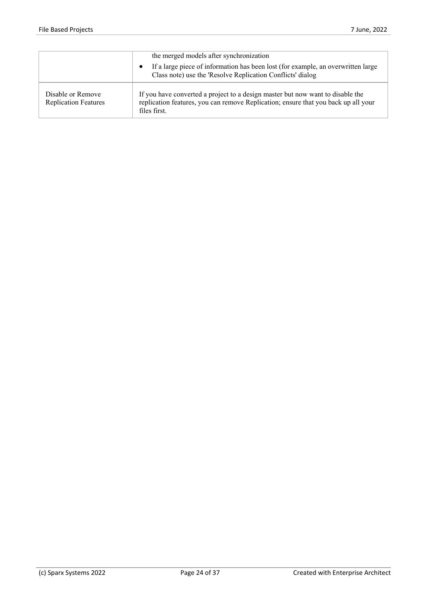|                                                  | the merged models after synchronization                                                                                                                                              |
|--------------------------------------------------|--------------------------------------------------------------------------------------------------------------------------------------------------------------------------------------|
|                                                  | If a large piece of information has been lost (for example, an overwritten large<br>$\bullet$<br>Class note) use the 'Resolve Replication Conflicts' dialog                          |
| Disable or Remove<br><b>Replication Features</b> | If you have converted a project to a design master but now want to disable the<br>replication features, you can remove Replication; ensure that you back up all your<br>files first. |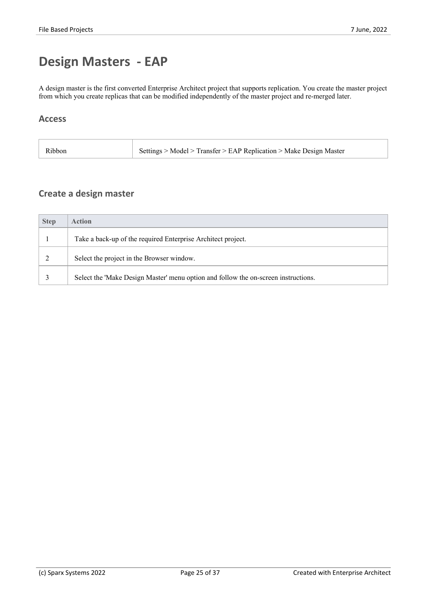## **Design Masters - EAP**

A design master is the first converted Enterprise Architect project that supports replication. You create the master project from which you create replicas that can be modified independently of the master project and re-merged later.

### **Access**

| Settings > Model > Transfer > EAP Replication > Make Design Master<br>Ribbon |
|------------------------------------------------------------------------------|
|------------------------------------------------------------------------------|

## **Create a design master**

| <b>Step</b> | <b>Action</b>                                                                      |  |
|-------------|------------------------------------------------------------------------------------|--|
|             | Take a back-up of the required Enterprise Architect project.                       |  |
|             | Select the project in the Browser window.                                          |  |
|             | Select the 'Make Design Master' menu option and follow the on-screen instructions. |  |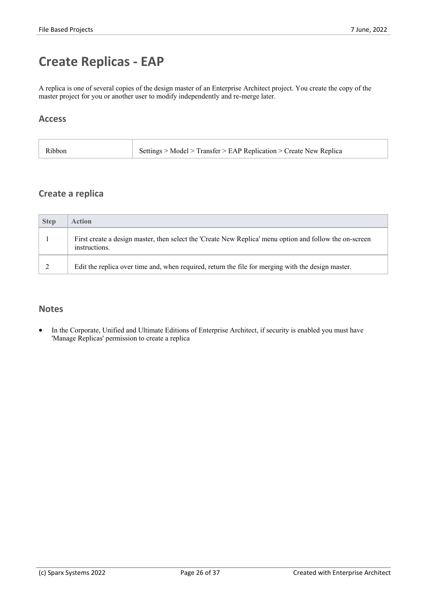## **Create Replicas - EAP**

A replica is one of several copies of the design master of an Enterprise Architect project. You create the copy of the master project for you or another user to modify independently and re-merge later.

## **Access**

| ~> Model > Transfer > EAP Replication > Create New Replica<br>Ribbon |  |
|----------------------------------------------------------------------|--|
|----------------------------------------------------------------------|--|

## **Create a replica**

| <b>Step</b> | <b>Action</b>                                                                                                            |
|-------------|--------------------------------------------------------------------------------------------------------------------------|
|             | First create a design master, then select the 'Create New Replica' menu option and follow the on-screen<br>instructions. |
|             | Edit the replica over time and, when required, return the file for merging with the design master.                       |

## **Notes**

In the Corporate, Unified and Ultimate Editions of Enterprise Architect, if security is enabled you must have 'Manage Replicas' permission to create a replica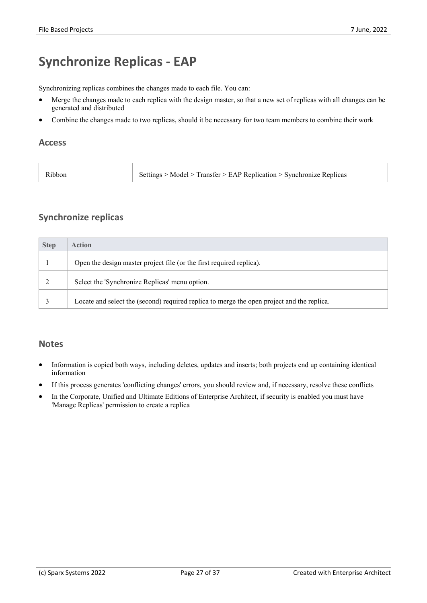## **Synchronize Replicas - EAP**

Synchronizing replicas combines the changes made to each file. You can:

- Merge the changes made to each replica with the design master, so that a new set of replicas with all changes can be generated and distributed
- Combine the changes made to two replicas, should it be necessary for two team members to combine their work

#### **Access**

| Ribbon | Settings > Model > Transfer > EAP Replication > Synchronize Replicas |
|--------|----------------------------------------------------------------------|
|--------|----------------------------------------------------------------------|

## **Synchronize replicas**

| <b>Step</b> | <b>Action</b>                                                                              |
|-------------|--------------------------------------------------------------------------------------------|
|             | Open the design master project file (or the first required replica).                       |
|             | Select the 'Synchronize Replicas' menu option.                                             |
|             | Locate and select the (second) required replica to merge the open project and the replica. |

#### **Notes**

- Information is copied both ways, including deletes, updates and inserts; both projects end up containing identical information
- If this process generates 'conflicting changes' errors, you should review and, if necessary, resolve these conflicts
- In the Corporate, Unified and Ultimate Editions of Enterprise Architect, if security is enabled you must have 'Manage Replicas' permission to create a replica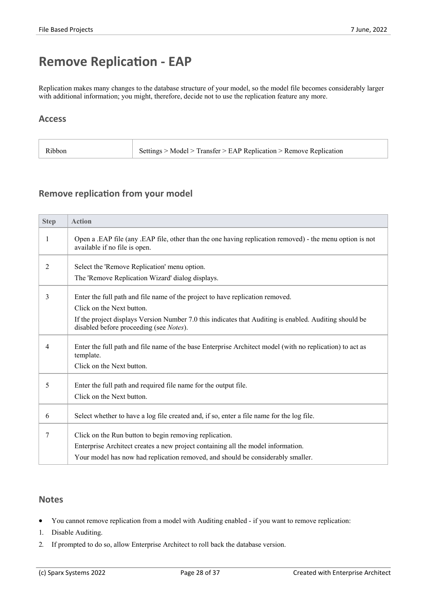## **Remove Replication - EAP**

Replication makes many changes to the database structure of your model, so the model file becomes considerably larger with additional information; you might, therefore, decide not to use the replication feature any more.

### **Access**

| $\cdot$ Model $>$ Transfer $>$ EAP Replication $>$ Remove Replication<br>K1bb01<br>the contract of the contract of the contract of |  |  |  |
|------------------------------------------------------------------------------------------------------------------------------------|--|--|--|
|------------------------------------------------------------------------------------------------------------------------------------|--|--|--|

### **Remove replication from your model**

| <b>Step</b> | <b>Action</b>                                                                                                                                     |
|-------------|---------------------------------------------------------------------------------------------------------------------------------------------------|
|             | Open a .EAP file (any .EAP file, other than the one having replication removed) - the menu option is not<br>available if no file is open.         |
| 2           | Select the 'Remove Replication' menu option.                                                                                                      |
|             | The 'Remove Replication Wizard' dialog displays.                                                                                                  |
| 3           | Enter the full path and file name of the project to have replication removed.                                                                     |
|             | Click on the Next button.                                                                                                                         |
|             | If the project displays Version Number 7.0 this indicates that Auditing is enabled. Auditing should be<br>disabled before proceeding (see Notes). |
| 4           | Enter the full path and file name of the base Enterprise Architect model (with no replication) to act as<br>template.                             |
|             | Click on the Next button.                                                                                                                         |
| 5           | Enter the full path and required file name for the output file.                                                                                   |
|             | Click on the Next button.                                                                                                                         |
| 6           | Select whether to have a log file created and, if so, enter a file name for the log file.                                                         |
| 7           | Click on the Run button to begin removing replication.                                                                                            |
|             | Enterprise Architect creates a new project containing all the model information.                                                                  |
|             | Your model has now had replication removed, and should be considerably smaller.                                                                   |

#### **Notes**

- You cannot remove replication from a model with Auditing enabled if you want to remove replication:
- 1. Disable Auditing.
- 2. If prompted to do so, allow Enterprise Architect to roll back the database version.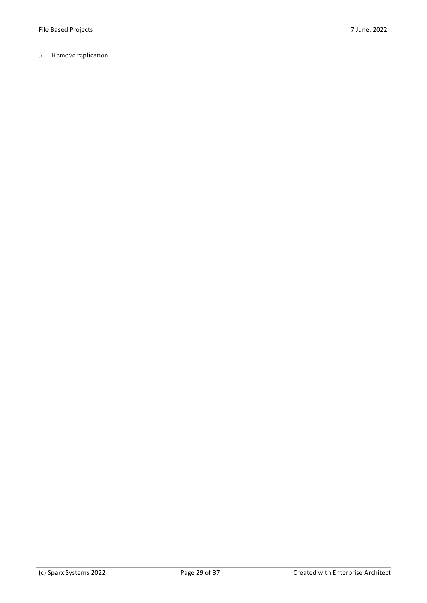3. Remove replication.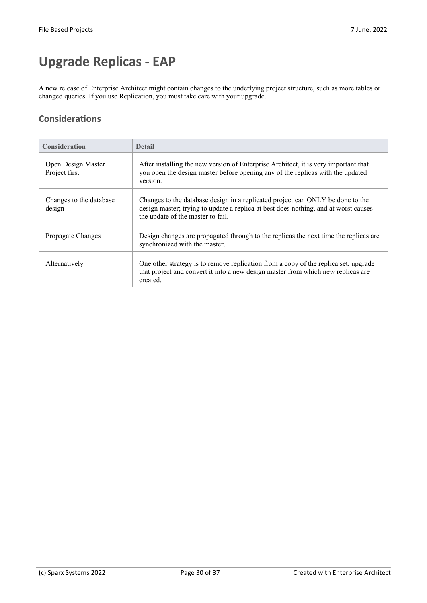## **Upgrade Replicas - EAP**

A new release of Enterprise Architect might contain changes to the underlying project structure, such as more tables or changed queries. If you use Replication, you must take care with your upgrade.

## **Considerations**

| <b>Consideration</b>                | <b>Detail</b>                                                                                                                                                                                              |
|-------------------------------------|------------------------------------------------------------------------------------------------------------------------------------------------------------------------------------------------------------|
| Open Design Master<br>Project first | After installing the new version of Enterprise Architect, it is very important that<br>you open the design master before opening any of the replicas with the updated<br>version.                          |
| Changes to the database<br>design   | Changes to the database design in a replicated project can ONLY be done to the<br>design master; trying to update a replica at best does nothing, and at worst causes<br>the update of the master to fail. |
| Propagate Changes                   | Design changes are propagated through to the replicas the next time the replicas are<br>synchronized with the master.                                                                                      |
| Alternatively                       | One other strategy is to remove replication from a copy of the replica set, upgrade<br>that project and convert it into a new design master from which new replicas are<br>created.                        |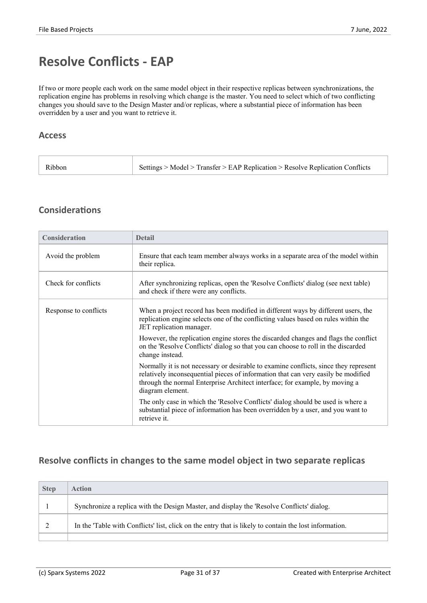## **Resolve Conflicts - EAP**

If two or more people each work on the same model object in their respective replicas between synchronizations, the replication engine has problems in resolving which change is the master. You need to select which of two conflicting changes you should save to the Design Master and/or replicas, where a substantial piece of information has been overridden by a user and you want to retrieve it.

### **Access**

| Settings > Model > Transfer > EAP Replication > Resolve Replication Conflicts |  |
|-------------------------------------------------------------------------------|--|
|                                                                               |  |

## **Considerations**

| Consideration         | <b>Detail</b>                                                                                                                                                                                                                                                                |
|-----------------------|------------------------------------------------------------------------------------------------------------------------------------------------------------------------------------------------------------------------------------------------------------------------------|
| Avoid the problem     | Ensure that each team member always works in a separate area of the model within<br>their replica.                                                                                                                                                                           |
| Check for conflicts   | After synchronizing replicas, open the 'Resolve Conflicts' dialog (see next table)<br>and check if there were any conflicts.                                                                                                                                                 |
| Response to conflicts | When a project record has been modified in different ways by different users, the<br>replication engine selects one of the conflicting values based on rules within the<br>JET replication manager.                                                                          |
|                       | However, the replication engine stores the discarded changes and flags the conflict<br>on the 'Resolve Conflicts' dialog so that you can choose to roll in the discarded<br>change instead.                                                                                  |
|                       | Normally it is not necessary or desirable to examine conflicts, since they represent<br>relatively inconsequential pieces of information that can very easily be modified<br>through the normal Enterprise Architect interface; for example, by moving a<br>diagram element. |
|                       | The only case in which the 'Resolve Conflicts' dialog should be used is where a<br>substantial piece of information has been overridden by a user, and you want to<br>retrieve it.                                                                                           |

## **Resolve conflicts in changes to the same model object in two separate replicas**

| <b>Step</b> | <b>Action</b>                                                                                          |
|-------------|--------------------------------------------------------------------------------------------------------|
|             | Synchronize a replica with the Design Master, and display the 'Resolve Conflicts' dialog.              |
|             | In the 'Table with Conflicts' list, click on the entry that is likely to contain the lost information. |
|             |                                                                                                        |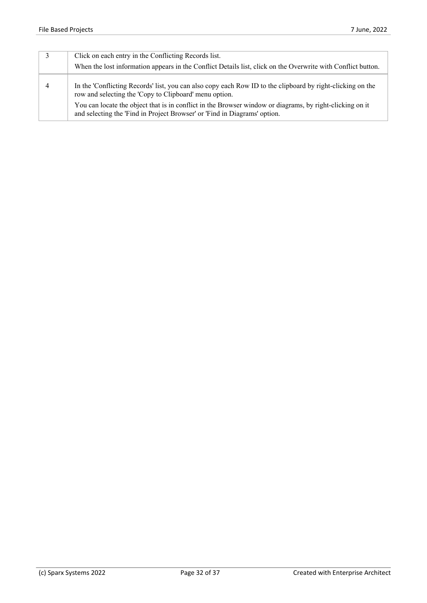| Click on each entry in the Conflicting Records list.<br>When the lost information appears in the Conflict Details list, click on the Overwrite with Conflict button.                  |
|---------------------------------------------------------------------------------------------------------------------------------------------------------------------------------------|
| In the 'Conflicting Records' list, you can also copy each Row ID to the clipboard by right-clicking on the<br>row and selecting the 'Copy to Clipboard' menu option.                  |
| You can locate the object that is in conflict in the Browser window or diagrams, by right-clicking on it<br>and selecting the 'Find in Project Browser' or 'Find in Diagrams' option. |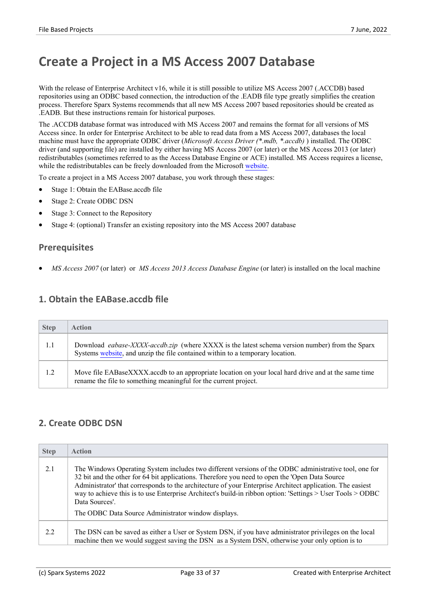## **Create a Project in a MS Access 2007 Database**

With the release of Enterprise Architect v16, while it is still possible to utilize MS Access 2007 (.ACCDB) based repositories using an ODBC based connection, the introduction of the .EADB file type greatly simplifies the creation process. Therefore Sparx Systems recommends that all new MS Access 2007 based repositories should be created as .EADB. But these instructions remain for historical purposes.

The .ACCDB database format was introduced with MS Access 2007 and remains the format for all versions of MS Access since. In order for Enterprise Architect to be able to read data from a MS Access 2007, databases the local machine must have the appropriate ODBC driver (*Microsoft Access Driver (\*.mdb, \*.accdb)* ) installed. The ODBC driver (and supporting file) are installed by either having MS Access 2007 (or later) or the MS Access 2013 (or later) redistributables (sometimes referred to asthe Access Database Engine or ACE) installed. MS Access requires a license, while the redistributables can be freely downloaded from the Microsoft [website](https://www.microsoft.com/en-us/download/details.aspx?id=54920).

To create a project in a MS Access 2007 database, you work through these stages:

- Stage 1: Obtain the EABase.accdb file
- Stage 2: Create ODBC DSN
- Stage 3: Connect to the Repository
- Stage 4: (optional) Transfer an existing repository into the MS Access 2007 database

## **Prerequisites**

· *MS Access 2007* (or later) or *MS Access 2013 Access Database Engine* (or later) is installed on the local machine

### **1. Obtain the EABase.accdb file**

| <b>Step</b> | <b>Action</b>                                                                                                                                                                          |
|-------------|----------------------------------------------------------------------------------------------------------------------------------------------------------------------------------------|
| 1.1         | Download <i>eabase-XXXX-accdb.zip</i> (where XXXX is the latest schema version number) from the Sparx<br>Systems website, and unzip the file contained within to a temporary location. |
| 1.2         | Move file EABaseXXXX.accdb to an appropriate location on your local hard drive and at the same time<br>rename the file to something meaningful for the current project.                |

## **2. Create ODBC DSN**

| <b>Step</b> | <b>Action</b>                                                                                                                                                                                                                                                                                                                                                                                                                                                                                                |  |
|-------------|--------------------------------------------------------------------------------------------------------------------------------------------------------------------------------------------------------------------------------------------------------------------------------------------------------------------------------------------------------------------------------------------------------------------------------------------------------------------------------------------------------------|--|
| 2.1         | The Windows Operating System includes two different versions of the ODBC administrative tool, one for<br>32 bit and the other for 64 bit applications. Therefore you need to open the 'Open Data Source'<br>Administrator' that corresponds to the architecture of your Enterprise Architect application. The easiest<br>way to achieve this is to use Enterprise Architect's build-in ribbon option: 'Settings > User Tools > ODBC<br>Data Sources'.<br>The ODBC Data Source Administrator window displays. |  |
| 2.2         | The DSN can be saved as either a User or System DSN, if you have administrator privileges on the local<br>machine then we would suggest saving the DSN as a System DSN, otherwise your only option is to                                                                                                                                                                                                                                                                                                     |  |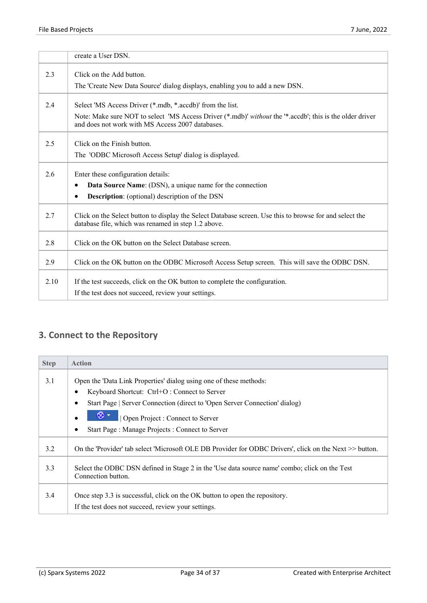|      | create a User DSN.                                                                                                                                             |
|------|----------------------------------------------------------------------------------------------------------------------------------------------------------------|
| 2.3  | Click on the Add button.                                                                                                                                       |
|      | The 'Create New Data Source' dialog displays, enabling you to add a new DSN.                                                                                   |
| 2.4  | Select 'MS Access Driver (*.mdb, *.accdb)' from the list.                                                                                                      |
|      | Note: Make sure NOT to select 'MS Access Driver (*.mdb)' without the '*.accdb'; this is the older driver<br>and does not work with MS Access 2007 databases.   |
| 2.5  | Click on the Finish button.                                                                                                                                    |
|      | The 'ODBC Microsoft Access Setup' dialog is displayed.                                                                                                         |
| 2.6  | Enter these configuration details:                                                                                                                             |
|      | Data Source Name: (DSN), a unique name for the connection<br>٠                                                                                                 |
|      | <b>Description:</b> (optional) description of the DSN<br>$\bullet$                                                                                             |
| 2.7  | Click on the Select button to display the Select Database screen. Use this to browse for and select the<br>database file, which was renamed in step 1.2 above. |
| 2.8  | Click on the OK button on the Select Database screen.                                                                                                          |
| 2.9  | Click on the OK button on the ODBC Microsoft Access Setup screen. This will save the ODBC DSN.                                                                 |
| 2.10 | If the test succeeds, click on the OK button to complete the configuration.                                                                                    |
|      | If the test does not succeed, review your settings.                                                                                                            |

## **3. Connect to the Repository**

| <b>Step</b> | <b>Action</b>                                                                                                       |
|-------------|---------------------------------------------------------------------------------------------------------------------|
| 3.1         | Open the 'Data Link Properties' dialog using one of these methods:                                                  |
|             | Keyboard Shortcut: Ctrl+O: Connect to Server                                                                        |
|             | Start Page   Server Connection (direct to 'Open Server Connection' dialog)                                          |
|             | Open Project : Connect to Server                                                                                    |
|             | Start Page: Manage Projects: Connect to Server                                                                      |
| 3.2         | On the 'Provider' tab select 'Microsoft OLE DB Provider for ODBC Drivers', click on the Next >> button.             |
| 3.3         | Select the ODBC DSN defined in Stage 2 in the 'Use data source name' combo; click on the Test<br>Connection button. |
| 3.4         | Once step 3.3 is successful, click on the OK button to open the repository.                                         |
|             | If the test does not succeed, review your settings.                                                                 |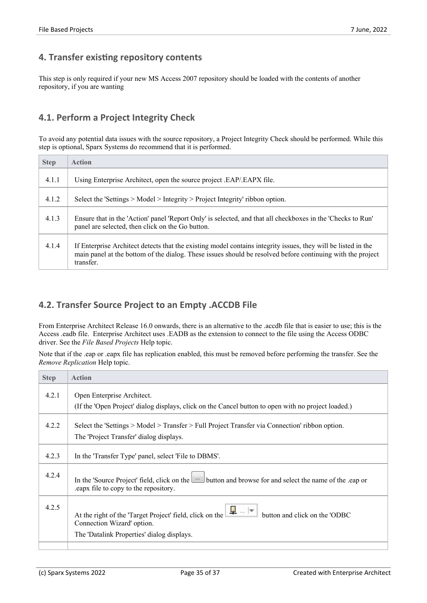## **4. Transfer existing repository contents**

This step is only required if your new MS Access 2007 repository should be loaded with the contents of another repository, if you are wanting

## **4.1. Perform a Project Integrity Check**

To avoid any potential data issues with the source repository, a Project Integrity Check should be performed. While this step is optional, Sparx Systems do recommend that it is performed.

| <b>Step</b> | <b>Action</b>                                                                                                                                                                                                                            |
|-------------|------------------------------------------------------------------------------------------------------------------------------------------------------------------------------------------------------------------------------------------|
| 4.1.1       | Using Enterprise Architect, open the source project .EAP/.EAPX file.                                                                                                                                                                     |
| 4.1.2       | Select the 'Settings $>$ Model $>$ Integrity $>$ Project Integrity' ribbon option.                                                                                                                                                       |
| 4.1.3       | Ensure that in the 'Action' panel 'Report Only' is selected, and that all checkboxes in the 'Checks to Run'<br>panel are selected, then click on the Go button.                                                                          |
| 4.1.4       | If Enterprise Architect detects that the existing model contains integrity issues, they will be listed in the<br>main panel at the bottom of the dialog. These issues should be resolved before continuing with the project<br>transfer. |

## **4.2. Transfer Source Project to an Empty .ACCDB File**

From Enterprise Architect Release 16.0 onwards, there is an alternative to the .accdb file that is easier to use; this is the Access .eadb file. Enterprise Architect uses .EADB as the extension to connect to the file using the Access ODBC driver. See the *File Based Projects* Help topic.

Note that if the .eap or .eapx file has replication enabled, this must be removed before performing the transfer. See the *Remove Replication* Help topic.

| <b>Step</b> | <b>Action</b>                                                                                                                                              |
|-------------|------------------------------------------------------------------------------------------------------------------------------------------------------------|
| 4.2.1       | Open Enterprise Architect.                                                                                                                                 |
|             | (If the 'Open Project' dialog displays, click on the Cancel button to open with no project loaded.)                                                        |
| 4.2.2       | Select the 'Settings > Model > Transfer > Full Project Transfer via Connection' ribbon option.<br>The 'Project Transfer' dialog displays.                  |
| 4.2.3       | In the 'Transfer Type' panel, select 'File to DBMS'.                                                                                                       |
| 4.2.4       | In the 'Source Project' field, click on the <b>the limitation</b> and browse for and select the name of the eap or<br>eapx file to copy to the repository. |
| 4.2.5       | $\frac{1}{2}$ $\neq$<br>button and click on the 'ODBC<br>At the right of the 'Target Project' field, click on the<br>Connection Wizard' option.            |
|             | The 'Datalink Properties' dialog displays.                                                                                                                 |
|             |                                                                                                                                                            |